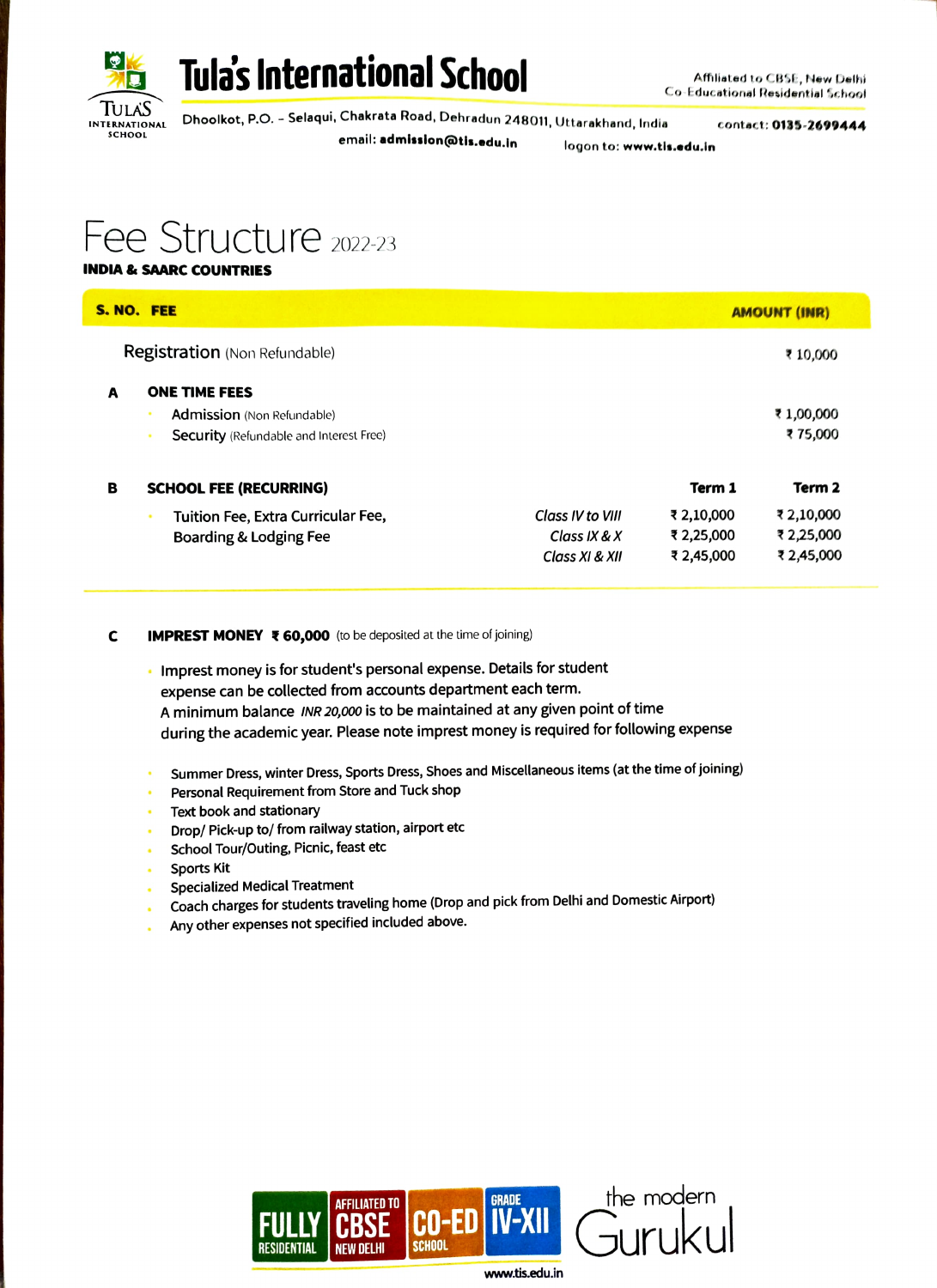



TULAS INTERNATIONAL Dhoolkot, P.O. - Selaqui, Chakrata Road, Dehradun 248011, Uttarakhand, India contact: **0135-2699444**<br>school email: **admission@tis.edu.in logon to: www.tls.edu.in** 

## Fee Structure 2022-23

### INDIA&SAARC COUNTRIES

| S. NO. FEE                           |                                                |                  | <b>AMOUNT (INR)</b> |            |
|--------------------------------------|------------------------------------------------|------------------|---------------------|------------|
| <b>Registration</b> (Non Refundable) |                                                |                  | ₹ 10,000            |            |
| A                                    | <b>ONE TIME FEES</b>                           |                  |                     |            |
|                                      | <b>Admission</b> (Non Refundable)              |                  |                     | ₹1,00,000  |
|                                      | <b>Security</b> (Refundable and Interest Free) |                  |                     | ₹75,000    |
| в                                    | <b>SCHOOL FEE (RECURRING)</b>                  |                  | Term 1              | Term 2     |
|                                      | Tuition Fee, Extra Curricular Fee,             | Class IV to VIII | ₹ 2,10,000          | ₹ 2,10,000 |
|                                      | Boarding & Lodging Fee                         | Class IX & $X$   | ₹ 2,25,000          | ₹ 2,25,000 |
|                                      |                                                | Class XI & XII   | ₹ 2,45,000          | ₹2,45,000  |

### **C** IMPREST MONEY  $\bar{x}$  60,000 (to be deposited at the time of joining)

- Imprest money is for student's personal expense. Details for student  $\blacksquare$ expense can be collected from accounts department each term. A minimum balance INR 20,000 is to be maintained at any given point of time during the academic year. Please note imprest money is required for following expense
- Summer Dress, winter Dress, Sports Dress, Shoes and Miscellaneous items (at the time of joining)
- Personal Requirement from Store and Tuck shop
- Text book and stationary
- Drop/ Pick-up to/ from railway station, airport etc
- School Tour/Outing, Picnic, feast etc
- Sports Kit
- Specialized Medical Treatment
- Coach charges for students traveling home (Drop and pick from Delhi and Domestic Airport)
- Any other expenses not specified included above.